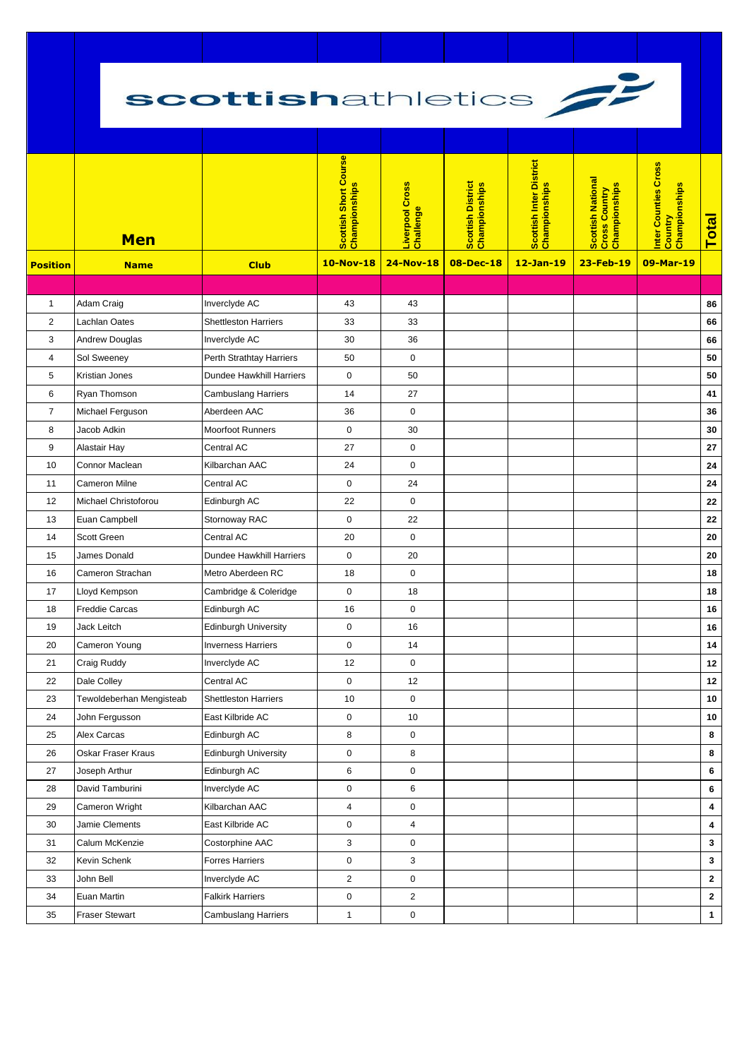## scottishathletics



|                 | <b>Men</b>               |                             | Scottish Short Course<br>Championships | Liverpool Cross<br>Challenge | Scottish District<br>Championships | Scottish Inter District<br>Championships | Scottish National<br>Cross Country<br>Championships | Inter Counties Cross<br><mark>Country</mark><br>Championships | <b>Total</b> |
|-----------------|--------------------------|-----------------------------|----------------------------------------|------------------------------|------------------------------------|------------------------------------------|-----------------------------------------------------|---------------------------------------------------------------|--------------|
| <b>Position</b> | <b>Name</b>              | <b>Club</b>                 | <b>10-Nov-18</b>                       | <b>24-Nov-18</b>             | 08-Dec-18                          | 12-Jan-19                                | 23-Feb-19                                           | 09-Mar-19                                                     |              |
|                 |                          |                             |                                        |                              |                                    |                                          |                                                     |                                                               |              |
| $\mathbf{1}$    | Adam Craig               | Inverclyde AC               | 43                                     | 43                           |                                    |                                          |                                                     |                                                               | 86           |
| 2               | Lachlan Oates            | <b>Shettleston Harriers</b> | 33                                     | 33                           |                                    |                                          |                                                     |                                                               | 66           |
| 3               | Andrew Douglas           | Inverclyde AC               | 30                                     | 36                           |                                    |                                          |                                                     |                                                               | 66           |
| 4               | Sol Sweeney              | Perth Strathtay Harriers    | 50                                     | $\mathbf 0$                  |                                    |                                          |                                                     |                                                               | 50           |
| 5               | Kristian Jones           | Dundee Hawkhill Harriers    | $\mathsf 0$                            | 50                           |                                    |                                          |                                                     |                                                               | 50           |
| 6               | Ryan Thomson             | <b>Cambuslang Harriers</b>  | 14                                     | 27                           |                                    |                                          |                                                     |                                                               | 41           |
| $\overline{7}$  | Michael Ferguson         | Aberdeen AAC                | 36                                     | $\mathbf 0$                  |                                    |                                          |                                                     |                                                               | 36           |
| 8               | Jacob Adkin              | <b>Moorfoot Runners</b>     | 0                                      | 30                           |                                    |                                          |                                                     |                                                               | $30\,$       |
| 9               | Alastair Hay             | Central AC                  | 27                                     | $\pmb{0}$                    |                                    |                                          |                                                     |                                                               | 27           |
| 10              | Connor Maclean           | Kilbarchan AAC              | 24                                     | 0                            |                                    |                                          |                                                     |                                                               | 24           |
| 11              | Cameron Milne            | Central AC                  | $\pmb{0}$                              | 24                           |                                    |                                          |                                                     |                                                               | 24           |
| 12              | Michael Christoforou     | Edinburgh AC                | 22                                     | 0                            |                                    |                                          |                                                     |                                                               | 22           |
| 13              | Euan Campbell            | Stornoway RAC               | $\pmb{0}$                              | 22                           |                                    |                                          |                                                     |                                                               | 22           |
| 14              | Scott Green              | Central AC                  | 20                                     | $\mathbf 0$                  |                                    |                                          |                                                     |                                                               | 20           |
| 15              | James Donald             | Dundee Hawkhill Harriers    | $\pmb{0}$                              | 20                           |                                    |                                          |                                                     |                                                               | 20           |
| 16              | Cameron Strachan         | Metro Aberdeen RC           | 18                                     | $\mathbf 0$                  |                                    |                                          |                                                     |                                                               | 18           |
| 17              | Lloyd Kempson            | Cambridge & Coleridge       | $\pmb{0}$                              | 18                           |                                    |                                          |                                                     |                                                               | 18           |
| 18              | <b>Freddie Carcas</b>    | Edinburgh AC                | 16                                     | $\mathbf 0$                  |                                    |                                          |                                                     |                                                               | 16           |
| 19              | Jack Leitch              | <b>Edinburgh University</b> | $\pmb{0}$                              | 16                           |                                    |                                          |                                                     |                                                               | 16           |
| 20              | Cameron Young            | <b>Inverness Harriers</b>   | $\pmb{0}$                              | 14                           |                                    |                                          |                                                     |                                                               | 14           |
| 21              | <b>Craig Ruddy</b>       | Inverclyde AC               | 12                                     | $\mathsf 0$                  |                                    |                                          |                                                     |                                                               | 12           |
| 22              | Dale Colley              | Central AC                  | 0                                      | 12                           |                                    |                                          |                                                     |                                                               | 12           |
| 23              | Tewoldeberhan Mengisteab | <b>Shettleston Harriers</b> | 10                                     | $\mathbf 0$                  |                                    |                                          |                                                     |                                                               | 10           |
| 24              | John Fergusson           | East Kilbride AC            | $\pmb{0}$                              | 10                           |                                    |                                          |                                                     |                                                               | $10\,$       |
| 25              | Alex Carcas              | Edinburgh AC                | 8                                      | $\pmb{0}$                    |                                    |                                          |                                                     |                                                               | 8            |
| 26              | Oskar Fraser Kraus       | <b>Edinburgh University</b> | $\pmb{0}$                              | 8                            |                                    |                                          |                                                     |                                                               | 8            |
| 27              | Joseph Arthur            | Edinburgh AC                | 6                                      | $\pmb{0}$                    |                                    |                                          |                                                     |                                                               | 6            |
| 28              | David Tamburini          | Inverclyde AC               | $\pmb{0}$                              | 6                            |                                    |                                          |                                                     |                                                               | 6            |
| 29              | Cameron Wright           | Kilbarchan AAC              | 4                                      | $\pmb{0}$                    |                                    |                                          |                                                     |                                                               | 4            |
| 30              | Jamie Clements           | East Kilbride AC            | $\pmb{0}$                              | 4                            |                                    |                                          |                                                     |                                                               | 4            |
| 31              | Calum McKenzie           | Costorphine AAC             | 3                                      | 0                            |                                    |                                          |                                                     |                                                               | 3            |
| 32              | Kevin Schenk             | <b>Forres Harriers</b>      | $\pmb{0}$                              | 3                            |                                    |                                          |                                                     |                                                               | $\mathbf 3$  |
| 33              | John Bell                | Inverclyde AC               | $\overline{2}$                         | 0                            |                                    |                                          |                                                     |                                                               | $\mathbf{2}$ |
| 34              | Euan Martin              | <b>Falkirk Harriers</b>     | $\pmb{0}$                              | $\sqrt{2}$                   |                                    |                                          |                                                     |                                                               | $\mathbf{2}$ |
| 35              | <b>Fraser Stewart</b>    | <b>Cambuslang Harriers</b>  | $\mathbf{1}$                           | $\pmb{0}$                    |                                    |                                          |                                                     |                                                               | $\mathbf{1}$ |